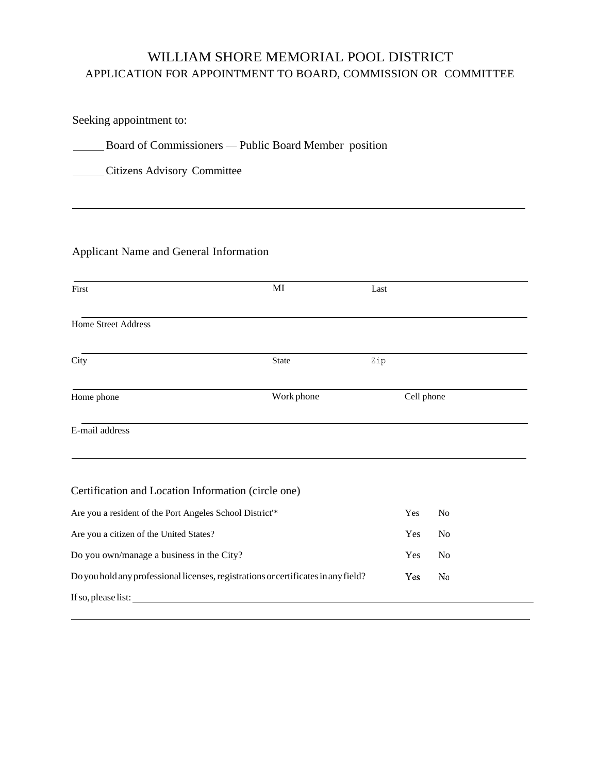# WILLIAM SHORE MEMORIAL POOL DISTRICT APPLICATION FOR APPOINTMENT TO BOARD, COMMISSION OR COMMITTEE

Seeking appointment to:

**EXECUTE:** Board of Commissioners — Public Board Member position

Citizens Advisory Committee

## Applicant Name and General Information

| First                                                    | MI                                                                                 | Last |            |                |  |
|----------------------------------------------------------|------------------------------------------------------------------------------------|------|------------|----------------|--|
| Home Street Address                                      |                                                                                    |      |            |                |  |
| City                                                     | <b>State</b>                                                                       | Zip  |            |                |  |
| Home phone                                               | Work phone                                                                         |      | Cell phone |                |  |
| E-mail address                                           |                                                                                    |      |            |                |  |
| Certification and Location Information (circle one)      |                                                                                    |      |            |                |  |
| Are you a resident of the Port Angeles School District'* |                                                                                    |      | Yes        | N <sub>0</sub> |  |
| Are you a citizen of the United States?                  |                                                                                    |      | Yes        | N <sub>o</sub> |  |
| Do you own/manage a business in the City?                |                                                                                    |      | Yes        | N <sub>o</sub> |  |
|                                                          | Do you hold any professional licenses, registrations or certificates in any field? |      | Yes        | No             |  |
| If so, please list:                                      |                                                                                    |      |            |                |  |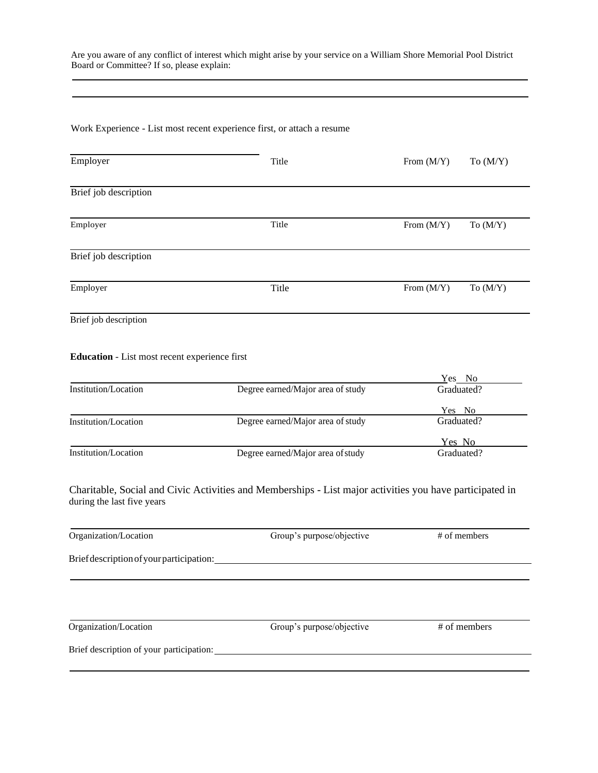Are you aware of any conflict of interest which might arise by your service on a William Shore Memorial Pool District Board or Committee? If so, please explain:

#### Work Experience - List most recent experience first, or attach a resume

| Employer              | Title | From $(M/Y)$ | To $(M/Y)$ |
|-----------------------|-------|--------------|------------|
| Brief job description |       |              |            |
| Employer              | Title | From $(M/Y)$ | To $(M/Y)$ |
| Brief job description |       |              |            |
| Employer              | Title | From $(M/Y)$ | To $(M/Y)$ |
| Brief job description |       |              |            |

#### **Education** - List most recent experience first

|                      |                                   | Yes No     |
|----------------------|-----------------------------------|------------|
| Institution/Location | Degree earned/Major area of study | Graduated? |
|                      |                                   | Yes No     |
| Institution/Location | Degree earned/Major area of study | Graduated? |
|                      |                                   | Yes No     |
| Institution/Location | Degree earned/Major area of study | Graduated? |

Charitable, Social and Civic Activities and Memberships - List major activities you have participated in during the last five years

| Organization/Location                    | Group's purpose/objective | # of members |
|------------------------------------------|---------------------------|--------------|
| Brief description of your participation: |                           |              |
|                                          |                           |              |
|                                          |                           |              |
|                                          |                           |              |
| Organization/Location                    | Group's purpose/objective | # of members |
|                                          |                           |              |
| Brief description of your participation: |                           |              |